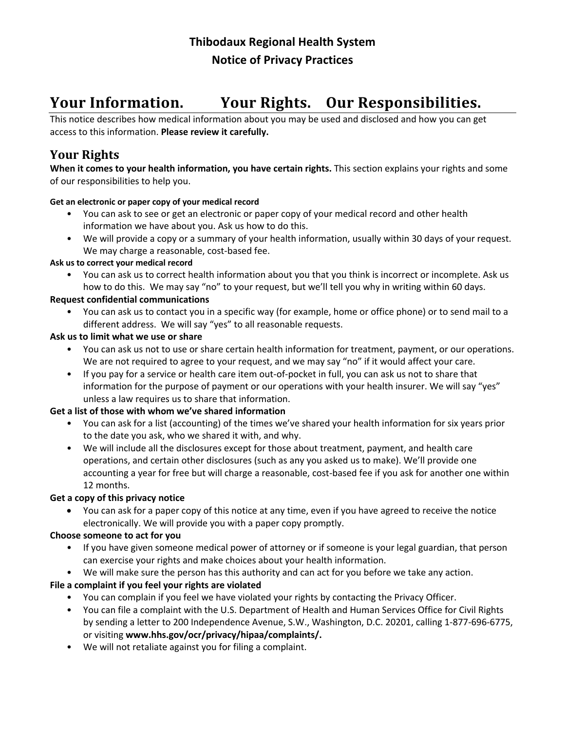# Your Information. Your Rights. Our Responsibilities.

This notice describes how medical information about you may be used and disclosed and how you can get access to this information. **Please review it carefully.**

### **Your Rights**

**When it comes to your health information, you have certain rights.** This section explains your rights and some of our responsibilities to help you.

#### **Get an electronic or paper copy of your medical record**

- You can ask to see or get an electronic or paper copy of your medical record and other health information we have about you. Ask us how to do this.
- We will provide a copy or a summary of your health information, usually within 30 days of your request. We may charge a reasonable, cost-based fee.

#### **Ask us to correct your medical record**

• You can ask us to correct health information about you that you think is incorrect or incomplete. Ask us how to do this. We may say "no" to your request, but we'll tell you why in writing within 60 days.

#### **Request confidential communications**

• You can ask us to contact you in a specific way (for example, home or office phone) or to send mail to a different address. We will say "yes" to all reasonable requests.

#### **Ask us to limit what we use or share**

- You can ask us not to use or share certain health information for treatment, payment, or our operations. We are not required to agree to your request, and we may say "no" if it would affect your care.
- If you pay for a service or health care item out-of-pocket in full, you can ask us not to share that information for the purpose of payment or our operations with your health insurer. We will say "yes" unless a law requires us to share that information.

#### **Get a list of those with whom we've shared information**

- You can ask for a list (accounting) of the times we've shared your health information for six years prior to the date you ask, who we shared it with, and why.
- We will include all the disclosures except for those about treatment, payment, and health care operations, and certain other disclosures (such as any you asked us to make). We'll provide one accounting a year for free but will charge a reasonable, cost-based fee if you ask for another one within 12 months.

#### **Get a copy of this privacy notice**

• You can ask for a paper copy of this notice at any time, even if you have agreed to receive the notice electronically. We will provide you with a paper copy promptly.

#### **Choose someone to act for you**

- If you have given someone medical power of attorney or if someone is your legal guardian, that person can exercise your rights and make choices about your health information.
- We will make sure the person has this authority and can act for you before we take any action.

#### **File a complaint if you feel your rights are violated**

- You can complain if you feel we have violated your rights by contacting the Privacy Officer.
- You can file a complaint with the U.S. Department of Health and Human Services Office for Civil Rights by sending a letter to 200 Independence Avenue, S.W., Washington, D.C. 20201, calling 1-877-696-6775, or visiting **www.hhs.gov/ocr/privacy/hipaa/complaints/.**
- We will not retaliate against you for filing a complaint.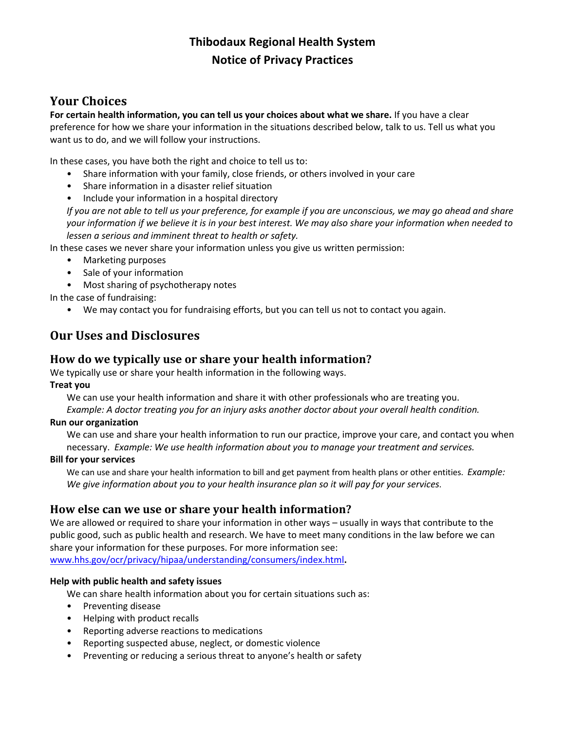## **Your Choices**

**For certain health information, you can tell us your choices about what we share.** If you have a clear preference for how we share your information in the situations described below, talk to us. Tell us what you want us to do, and we will follow your instructions.

In these cases, you have both the right and choice to tell us to:

- Share information with your family, close friends, or others involved in your care
- Share information in a disaster relief situation
- Include your information in a hospital directory

*If you are not able to tell us your preference, for example if you are unconscious, we may go ahead and share your information if we believe it is in your best interest. We may also share your information when needed to lessen a serious and imminent threat to health or safety.*

In these cases we never share your information unless you give us written permission:

- Marketing purposes
- Sale of your information
- Most sharing of psychotherapy notes

In the case of fundraising:

• We may contact you for fundraising efforts, but you can tell us not to contact you again.

## **Our Uses and Disclosures**

### How do we typically use or share your health information?

We typically use or share your health information in the following ways.

#### **Treat you**

We can use your health information and share it with other professionals who are treating you.

*Example: A doctor treating you for an injury asks another doctor about your overall health condition.*

#### **Run our organization**

We can use and share your health information to run our practice, improve your care, and contact you when necessary. *Example: We use health information about you to manage your treatment and services.* 

#### **Bill for your services**

We can use and share your health information to bill and get payment from health plans or other entities. *Example: We give information about you to your health insurance plan so it will pay for your services.* 

### How else can we use or share your health information?

We are allowed or required to share your information in other ways – usually in ways that contribute to the public good, such as public health and research. We have to meet many conditions in the law before we can share your information for these purposes. For more information see:

www.hhs.gov/ocr/privacy/hipaa/understanding/consumers/index.html**.**

#### **Help with public health and safety issues**

We can share health information about you for certain situations such as:

- Preventing disease
- Helping with product recalls
- Reporting adverse reactions to medications
- Reporting suspected abuse, neglect, or domestic violence
- Preventing or reducing a serious threat to anyone's health or safety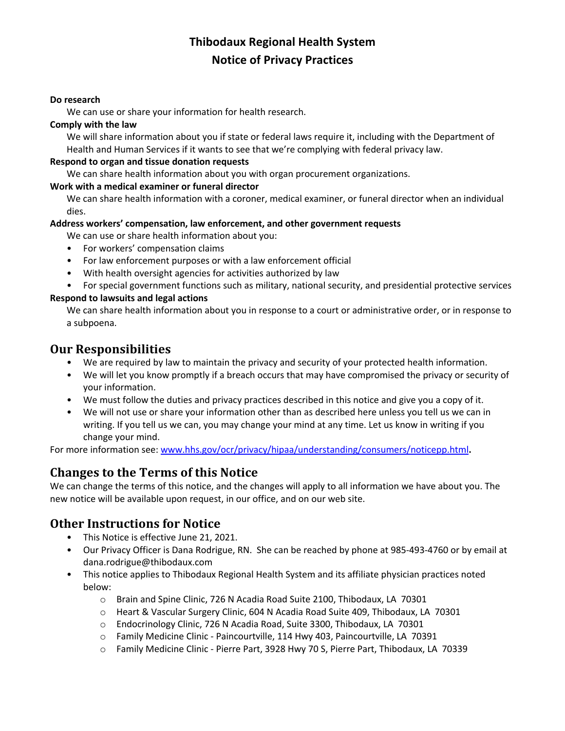#### **Do research**

We can use or share your information for health research.

#### **Comply with the law**

We will share information about you if state or federal laws require it, including with the Department of Health and Human Services if it wants to see that we're complying with federal privacy law.

#### **Respond to organ and tissue donation requests**

We can share health information about you with organ procurement organizations.

#### **Work with a medical examiner or funeral director**

We can share health information with a coroner, medical examiner, or funeral director when an individual dies.

#### **Address workers' compensation, law enforcement, and other government requests**

We can use or share health information about you:

- For workers' compensation claims
- For law enforcement purposes or with a law enforcement official
- With health oversight agencies for activities authorized by law
- For special government functions such as military, national security, and presidential protective services

#### **Respond to lawsuits and legal actions**

We can share health information about you in response to a court or administrative order, or in response to a subpoena.

### **Our Responsibilities**

- We are required by law to maintain the privacy and security of your protected health information.
- We will let you know promptly if a breach occurs that may have compromised the privacy or security of your information.
- We must follow the duties and privacy practices described in this notice and give you a copy of it.
- We will not use or share your information other than as described here unless you tell us we can in writing. If you tell us we can, you may change your mind at any time. Let us know in writing if you change your mind.

For more information see: www.hhs.gov/ocr/privacy/hipaa/understanding/consumers/noticepp.html**.**

### **Changes to the Terms of this Notice**

We can change the terms of this notice, and the changes will apply to all information we have about you. The new notice will be available upon request, in our office, and on our web site.

## **Other Instructions for Notice**

- This Notice is effective June 21, 2021.
- Our Privacy Officer is Dana Rodrigue, RN. She can be reached by phone at 985-493-4760 or by email at dana.rodrigue@thibodaux.com
- This notice applies to Thibodaux Regional Health System and its affiliate physician practices noted below:
	- o Brain and Spine Clinic, 726 N Acadia Road Suite 2100, Thibodaux, LA 70301
	- o Heart & Vascular Surgery Clinic, 604 N Acadia Road Suite 409, Thibodaux, LA 70301
	- o Endocrinology Clinic, 726 N Acadia Road, Suite 3300, Thibodaux, LA 70301
	- o Family Medicine Clinic Paincourtville, 114 Hwy 403, Paincourtville, LA 70391
	- o Family Medicine Clinic Pierre Part, 3928 Hwy 70 S, Pierre Part, Thibodaux, LA 70339